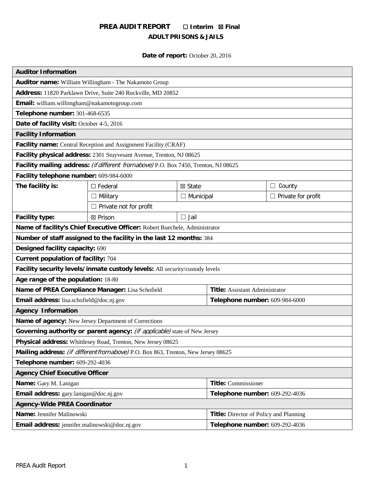# **PREA AUDIT REPORT** ☐ **Interim** ☒ **Final ADULT PRISONS & JAILS**

# **Date of report:** October 20, 2016

| <b>Auditor Information</b>                                                           |                               |                  |                                               |                           |
|--------------------------------------------------------------------------------------|-------------------------------|------------------|-----------------------------------------------|---------------------------|
| Auditor name: William Willingham - The Nakamoto Group                                |                               |                  |                                               |                           |
| Address: 11820 Parklawn Drive, Suite 240 Rockville, MD 20852                         |                               |                  |                                               |                           |
| Email: william.willimgham@nakamotogroup.com                                          |                               |                  |                                               |                           |
| Telephone number: 301-468-6535                                                       |                               |                  |                                               |                           |
| Date of facility visit: October 4-5, 2016                                            |                               |                  |                                               |                           |
| <b>Facility Information</b>                                                          |                               |                  |                                               |                           |
| Facility name: Central Reception and Assignment Facility (CRAF)                      |                               |                  |                                               |                           |
| Facility physical address: 2301 Stuyvesant Avenue, Trenton, NJ 08625                 |                               |                  |                                               |                           |
| Facility mailing address: (if different from above) P.O. Box 7450, Trenton, NJ 08625 |                               |                  |                                               |                           |
| Facility telephone number: 609-984-6000                                              |                               |                  |                                               |                           |
| The facility is:                                                                     | $\Box$ Federal                | ⊠ State          |                                               | $\Box$ County             |
|                                                                                      | $\Box$ Military               | $\Box$ Municipal |                                               | $\Box$ Private for profit |
|                                                                                      | $\Box$ Private not for profit |                  |                                               |                           |
| <b>Facility type:</b>                                                                | ⊠ Prison                      | $\Box$ Jail      |                                               |                           |
| Name of facility's Chief Executive Officer: Robert Buechele, Administrator           |                               |                  |                                               |                           |
| Number of staff assigned to the facility in the last 12 months: 384                  |                               |                  |                                               |                           |
| Designed facility capacity: 690                                                      |                               |                  |                                               |                           |
| Current population of facility: 704                                                  |                               |                  |                                               |                           |
| Facility security levels/inmate custody levels: All security/custody levels          |                               |                  |                                               |                           |
| Age range of the population: 18-80                                                   |                               |                  |                                               |                           |
| Name of PREA Compliance Manager: Lisa Schofield                                      |                               |                  | <b>Title:</b> Assistant Administrator         |                           |
| Email address: lisa.schofield@doc.nj.gov                                             |                               |                  | Telephone number: 609-984-6000                |                           |
| <b>Agency Information</b>                                                            |                               |                  |                                               |                           |
| Name of agency: New Jersey Department of Corrections                                 |                               |                  |                                               |                           |
| Governing authority or parent agency: (if applicable) state of New Jersey            |                               |                  |                                               |                           |
| Physical address: Whittlesey Road, Trenton, New Jersey 08625                         |                               |                  |                                               |                           |
| Mailing address: (if different from above) P.O. Box 863, Trenton, New Jersey 08625   |                               |                  |                                               |                           |
| Telephone number: 609-292-4036                                                       |                               |                  |                                               |                           |
| <b>Agency Chief Executive Officer</b>                                                |                               |                  |                                               |                           |
| Name: Gary M. Lanigan                                                                |                               |                  | <b>Title:</b> Commissioner                    |                           |
| Email address: gary.lanigan@doc.nj.gov                                               |                               |                  | Telephone number: 609-292-4036                |                           |
| <b>Agency-Wide PREA Coordinator</b>                                                  |                               |                  |                                               |                           |
| Name: Jennifer Malinowski                                                            |                               |                  | <b>Title:</b> Director of Policy and Planning |                           |
| Email address: jennifer.malinowski@doc.nj.gov                                        |                               |                  | Telephone number: 609-292-4036                |                           |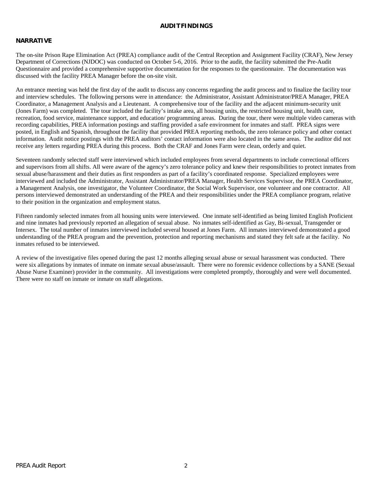#### **AUDITFINDINGS**

### **NARRATIVE**

The on-site Prison Rape Elimination Act (PREA) compliance audit of the Central Reception and Assignment Facility (CRAF), New Jersey Department of Corrections (NJDOC) was conducted on October 5-6, 2016. Prior to the audit, the facility submitted the Pre-Audit Questionnaire and provided a comprehensive supportive documentation for the responses to the questionnaire. The documentation was discussed with the facility PREA Manager before the on-site visit.

An entrance meeting was held the first day of the audit to discuss any concerns regarding the audit process and to finalize the facility tour and interview schedules. The following persons were in attendance: the Administrator, Assistant Administrator/PREA Manager, PREA Coordinator, a Management Analysis and a Lieutenant. A comprehensive tour of the facility and the adjacent minimum-security unit (Jones Farm) was completed. The tour included the facility's intake area, all housing units, the restricted housing unit, health care, recreation, food service, maintenance support, and education/ programming areas. During the tour, there were multiple video cameras with recording capabilities, PREA information postings and staffing provided a safe environment for inmates and staff. PREA signs were posted, in English and Spanish, throughout the facility that provided PREA reporting methods, the zero tolerance policy and other contact information. Audit notice postings with the PREA auditors' contact information were also located in the same areas. The auditor did not receive any letters regarding PREA during this process. Both the CRAF and Jones Farm were clean, orderly and quiet.

Seventeen randomly selected staff were interviewed which included employees from several departments to include correctional officers and supervisors from all shifts. All were aware of the agency's zero tolerance policy and knew their responsibilities to protect inmates from sexual abuse/harassment and their duties as first responders as part of a facility's coordinated response. Specialized employees were interviewed and included the Administrator, Assistant Administrator/PREA Manager, Health Services Supervisor, the PREA Coordinator, a Management Analysis, one investigator, the Volunteer Coordinator, the Social Work Supervisor, one volunteer and one contractor. All persons interviewed demonstrated an understanding of the PREA and their responsibilities under the PREA compliance program, relative to their position in the organization and employment status.

Fifteen randomly selected inmates from all housing units were interviewed. One inmate self-identified as being limited English Proficient and nine inmates had previously reported an allegation of sexual abuse. No inmates self-identified as Gay, Bi-sexual, Transgender or Intersex. The total number of inmates interviewed included several housed at Jones Farm. All inmates interviewed demonstrated a good understanding of the PREA program and the prevention, protection and reporting mechanisms and stated they felt safe at the facility. No inmates refused to be interviewed.

A review of the investigative files opened during the past 12 months alleging sexual abuse or sexual harassment was conducted. There were six allegations by inmates of inmate on inmate sexual abuse/assault. There were no forensic evidence collections by a SANE (Sexual Abuse Nurse Examiner) provider in the community. All investigations were completed promptly, thoroughly and were well documented. There were no staff on inmate or inmate on staff allegations.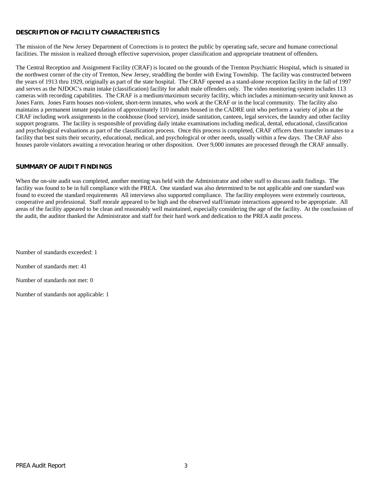# **DESCRIPTION OF FACILITY CHARACTERISTICS**

The mission of the New Jersey Department of Corrections is to protect the public by operating safe, secure and humane correctional facilities. The mission is realized through effective supervision, proper classification and appropriate treatment of offenders.

The Central Reception and Assignment Facility (CRAF) is located on the grounds of the Trenton Psychiatric Hospital, which is situated in the northwest corner of the city of Trenton, New Jersey, straddling the border with Ewing Township. The facility was constructed between the years of 1913 thru 1929, originally as part of the state hospital. The CRAF opened as a stand-alone reception facility in the fall of 1997 and serves as the NJDOC's main intake (classification) facility for adult male offenders only. The video monitoring system includes 113 cameras with recording capabilities. The CRAF is a medium/maximum security facility, which includes a minimum-security unit known as Jones Farm. Jones Farm houses non-violent, short-term inmates, who work at the CRAF or in the local community. The facility also maintains a permanent inmate population of approximately 110 inmates housed in the CADRE unit who perform a variety of jobs at the CRAF including work assignments in the cookhouse (food service), inside sanitation, canteen, legal services, the laundry and other facility support programs. The facility is responsible of providing daily intake examinations including medical, dental, educational, classification and psychological evaluations as part of the classification process. Once this process is completed, CRAF officers then transfer inmates to a facility that best suits their security, educational, medical, and psychological or other needs, usually within a few days. The CRAF also houses parole violators awaiting a revocation hearing or other disposition. Over 9,000 inmates are processed through the CRAF annually.

### **SUMMARY OF AUDIT FINDINGS**

When the on-site audit was completed, another meeting was held with the Administrator and other staff to discuss audit findings. The facility was found to be in full compliance with the PREA. One standard was also determined to be not applicable and one standard was found to exceed the standard requirements All interviews also supported compliance. The facility employees were extremely courteous, cooperative and professional. Staff morale appeared to be high and the observed staff/inmate interactions appeared to be appropriate. All areas of the facility appeared to be clean and reasonably well maintained, especially considering the age of the facility. At the conclusion of the audit, the auditor thanked the Administrator and staff for their hard work and dedication to the PREA audit process.

Number of standards exceeded: 1

Number of standards met: 41

Number of standards not met: 0

Number of standards not applicable: 1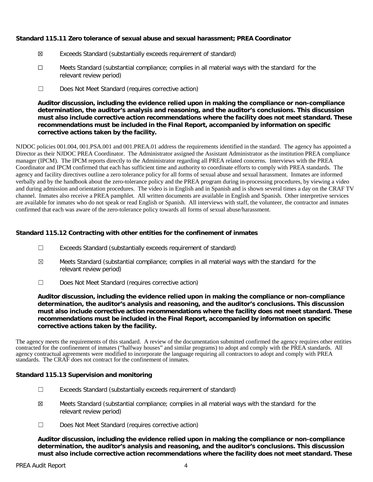### **Standard 115.11 Zero tolerance of sexual abuse and sexual harassment; PREA Coordinator**

- ☒ Exceeds Standard (substantially exceeds requirement of standard)
- ☐ Meets Standard (substantial compliance; complies in all material ways with the standard for the relevant review period)
- ☐ Does Not Meet Standard (requires corrective action)

**Auditor discussion, including the evidence relied upon in making the compliance or non-compliance determination, the auditor's analysis and reasoning, and the auditor's conclusions. This discussion must also include corrective action recommendations where the facility does not meet standard. These recommendations must be included in the Final Report, accompanied by information on specific corrective actions taken by the facility.**

NJDOC policies 001.004, 001.PSA.001 and 001.PREA.01 address the requirements identified in the standard. The agency has appointed a Director as their NJDOC PREA Coordinator. The Administrator assigned the Assistant Administrator as the institution PREA compliance manager (IPCM). The IPCM reports directly to the Administrator regarding all PREA related concerns. Interviews with the PREA Coordinator and IPCM confirmed that each has sufficient time and authority to coordinate efforts to comply with PREA standards. The agency and facility directives outline a zero tolerance policy for all forms of sexual abuse and sexual harassment. Inmates are informed verbally and by the handbook about the zero-tolerance policy and the PREA program during in-processing procedures, by viewing a video and during admission and orientation procedures. The video is in English and in Spanish and is shown several times a day on the CRAF TV channel. Inmates also receive a PREA pamphlet. All written documents are available in English and Spanish. Other interpretive services are available for inmates who do not speak or read English or Spanish. All interviews with staff, the volunteer, the contractor and inmates confirmed that each was aware of the zero-tolerance policy towards all forms of sexual abuse/harassment.

# **Standard 115.12 Contracting with other entities for the confinement of inmates**

- ☐ Exceeds Standard (substantially exceeds requirement of standard)
- $\boxtimes$  Meets Standard (substantial compliance; complies in all material ways with the standard for the relevant review period)
- ☐ Does Not Meet Standard (requires corrective action)

**Auditor discussion, including the evidence relied upon in making the compliance or non-compliance determination, the auditor's analysis and reasoning, and the auditor's conclusions. This discussion must also include corrective action recommendations where the facility does not meet standard. These recommendations must be included in the Final Report, accompanied by information on specific corrective actions taken by the facility.**

The agency meets the requirements of this standard. A review of the documentation submitted confirmed the agency requires other entities contracted for the confinement of inmates ("halfway houses" and similar programs) to adopt and comply with the PREA standards. All agency contractual agreements were modified to incorporate the language requiring all contractors to adopt and comply with PREA standards. The CRAF does not contract for the confinement of inmates.

#### **Standard 115.13 Supervision and monitoring**

- ☐ Exceeds Standard (substantially exceeds requirement of standard)
- ☒ Meets Standard (substantial compliance; complies in all material ways with the standard for the relevant review period)
- ☐ Does Not Meet Standard (requires corrective action)

**Auditor discussion, including the evidence relied upon in making the compliance or non-compliance determination, the auditor's analysis and reasoning, and the auditor's conclusions. This discussion must also include corrective action recommendations where the facility does not meet standard. These**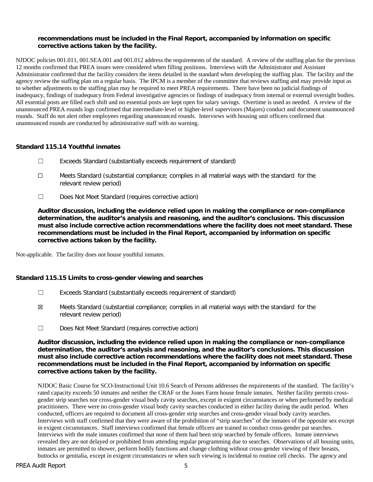### **recommendations must be included in the Final Report, accompanied by information on specific corrective actions taken by the facility.**

NJDOC policies 001.011, 001.SEA.001 and 001.012 address the requirements of the standard. A review of the staffing plan for the previous 12 months confirmed that PREA issues were considered when filling positions. Interviews with the Administrator and Assistant Administrator confirmed that the facility considers the items detailed in the standard when developing the staffing plan. The facility and the agency review the staffing plan on a regular basis. The IPCM is a member of the committee that reviews staffing and may provide input as to whether adjustments to the staffing plan may be required to meet PREA requirements. There have been no judicial findings of inadequacy, findings of inadequacy from Federal investigative agencies or findings of inadequacy from internal or external oversight bodies. All essential posts are filled each shift and no essential posts are kept open for salary savings. Overtime is used as needed. A review of the unannounced PREA rounds logs confirmed that intermediate-level or higher-level supervisors (Majors) conduct and document unannounced rounds. Staff do not alert other employees regarding unannounced rounds. Interviews with housing unit officers confirmed that unannounced rounds are conducted by administrative staff with no warning.

# **Standard 115.14 Youthful inmates**

- ☐ Exceeds Standard (substantially exceeds requirement of standard)
- ☐ Meets Standard (substantial compliance; complies in all material ways with the standard for the relevant review period)
- ☐ Does Not Meet Standard (requires corrective action)

**Auditor discussion, including the evidence relied upon in making the compliance or non-compliance determination, the auditor's analysis and reasoning, and the auditor's conclusions. This discussion must also include corrective action recommendations where the facility does not meet standard. These recommendations must be included in the Final Report, accompanied by information on specific corrective actions taken by the facility.**

Not-applicable. The facility does not house youthful inmates.

# **Standard 115.15 Limits to cross-gender viewing and searches**

- ☐ Exceeds Standard (substantially exceeds requirement of standard)
- ☒ Meets Standard (substantial compliance; complies in all material ways with the standard for the relevant review period)
- ☐ Does Not Meet Standard (requires corrective action)

**Auditor discussion, including the evidence relied upon in making the compliance or non-compliance determination, the auditor's analysis and reasoning, and the auditor's conclusions. This discussion must also include corrective action recommendations where the facility does not meet standard. These recommendations must be included in the Final Report, accompanied by information on specific corrective actions taken by the facility.**

NJDOC Basic Course for SCO-Instructional Unit 10.6 Search of Persons addresses the requirements of the standard. The facility's rated capacity exceeds 50 inmates and neither the CRAF or the Jones Farm house female inmates. Neither facility permits crossgender strip searches nor cross-gender visual body cavity searches, except in exigent circumstances or when performed by medical practitioners. There were no cross-gender visual body cavity searches conducted in either facility during the audit period. When conducted, officers are required to document all cross-gender strip searches and cross-gender visual body cavity searches. Interviews with staff confirmed that they were aware of the prohibition of "strip searches" of the inmates of the opposite sex except in exigent circumstances. Staff interviews confirmed that female officers are trained to conduct cross-gender pat searches. Interviews with the male inmates confirmed that none of them had been strip searched by female officers. Inmate interviews revealed they are not delayed or prohibited from attending regular programming due to searches. Observations of all housing units, inmates are permitted to shower, perform bodily functions and change clothing without cross-gender viewing of their breasts, buttocks or genitalia, except in exigent circumstances or when such viewing is incidental to routine cell checks. The agency and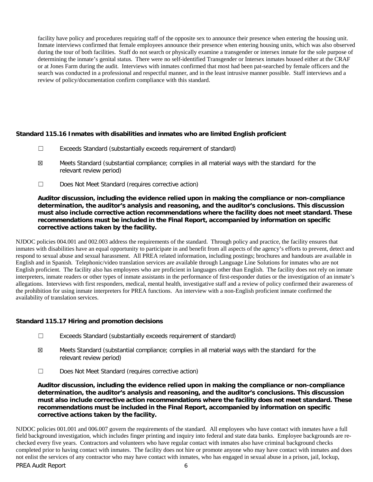facility have policy and procedures requiring staff of the opposite sex to announce their presence when entering the housing unit. Inmate interviews confirmed that female employees announce their presence when entering housing units, which was also observed during the tour of both facilities. Staff do not search or physically examine a transgender or intersex inmate for the sole purpose of determining the inmate's genital status. There were no self-identified Transgender or Intersex inmates housed either at the CRAF or at Jones Farm during the audit. Interviews with inmates confirmed that most had been pat-searched by female officers and the search was conducted in a professional and respectful manner, and in the least intrusive manner possible. Staff interviews and a review of policy/documentation confirm compliance with this standard.

# **Standard 115.16 Inmates with disabilities and inmates who are limited English proficient**

- ☐ Exceeds Standard (substantially exceeds requirement of standard)
- ☒ Meets Standard (substantial compliance; complies in all material ways with the standard for the relevant review period)
- ☐ Does Not Meet Standard (requires corrective action)

**Auditor discussion, including the evidence relied upon in making the compliance or non-compliance determination, the auditor's analysis and reasoning, and the auditor's conclusions. This discussion must also include corrective action recommendations where the facility does not meet standard. These recommendations must be included in the Final Report, accompanied by information on specific corrective actions taken by the facility.**

NJDOC policies 004.001 and 002.003 address the requirements of the standard. Through policy and practice, the facility ensures that inmates with disabilities have an equal opportunity to participate in and benefit from all aspects of the agency's efforts to prevent, detect and respond to sexual abuse and sexual harassment. All PREA related information, including postings; brochures and handouts are available in English and in Spanish. Telephonic/video translation services are available through Language Line Solutions for inmates who are not English proficient. The facility also has employees who are proficient in languages other than English. The facility does not rely on inmate interpreters, inmate readers or other types of inmate assistants in the performance of first-responder duties or the investigation of an inmate's allegations. Interviews with first responders, medical, mental health, investigative staff and a review of policy confirmed their awareness of the prohibition for using inmate interpreters for PREA functions. An interview with a non-English proficient inmate confirmed the availability of translation services.

# **Standard 115.17 Hiring and promotion decisions**

- ☐ Exceeds Standard (substantially exceeds requirement of standard)
- ☒ Meets Standard (substantial compliance; complies in all material ways with the standard for the relevant review period)
- ☐ Does Not Meet Standard (requires corrective action)

**Auditor discussion, including the evidence relied upon in making the compliance or non-compliance determination, the auditor's analysis and reasoning, and the auditor's conclusions. This discussion must also include corrective action recommendations where the facility does not meet standard. These recommendations must be included in the Final Report, accompanied by information on specific corrective actions taken by the facility.**

PREA Audit Report 6 NJDOC policies 001.001 and 006.007 govern the requirements of the standard. All employees who have contact with inmates have a full field background investigation, which includes finger printing and inquiry into federal and state data banks. Employee backgrounds are rechecked every five years. Contractors and volunteers who have regular contact with inmates also have criminal background checks completed prior to having contact with inmates. The facility does not hire or promote anyone who may have contact with inmates and does not enlist the services of any contractor who may have contact with inmates, who has engaged in sexual abuse in a prison, jail, lockup,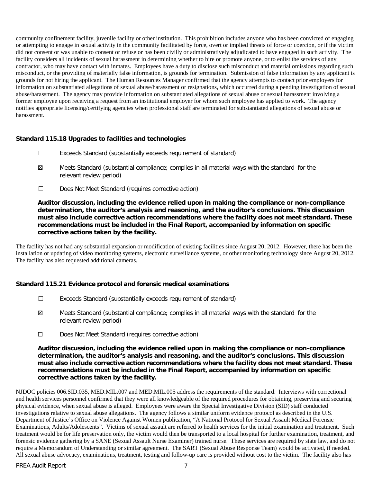community confinement facility, juvenile facility or other institution. This prohibition includes anyone who has been convicted of engaging or attempting to engage in sexual activity in the community facilitated by force, overt or implied threats of force or coercion, or if the victim did not consent or was unable to consent or refuse or has been civilly or administratively adjudicated to have engaged in such activity. The facility considers all incidents of sexual harassment in determining whether to hire or promote anyone, or to enlist the services of any contractor, who may have contact with inmates. Employees have a duty to disclose such misconduct and material omissions regarding such misconduct, or the providing of materially false information, is grounds for termination. Submission of false information by any applicant is grounds for not hiring the applicant. The Human Resources Manager confirmed that the agency attempts to contact prior employers for information on substantiated allegations of sexual abuse/harassment or resignations, which occurred during a pending investigation of sexual abuse/harassment. The agency may provide information on substantiated allegations of sexual abuse or sexual harassment involving a former employee upon receiving a request from an institutional employer for whom such employee has applied to work. The agency notifies appropriate licensing/certifying agencies when professional staff are terminated for substantiated allegations of sexual abuse or harassment.

# **Standard 115.18 Upgrades to facilities and technologies**

- ☐ Exceeds Standard (substantially exceeds requirement of standard)
- ☒ Meets Standard (substantial compliance; complies in all material ways with the standard for the relevant review period)
- ☐ Does Not Meet Standard (requires corrective action)

### **Auditor discussion, including the evidence relied upon in making the compliance or non-compliance determination, the auditor's analysis and reasoning, and the auditor's conclusions. This discussion must also include corrective action recommendations where the facility does not meet standard. These recommendations must be included in the Final Report, accompanied by information on specific corrective actions taken by the facility.**

The facility has not had any substantial expansion or modification of existing facilities since August 20, 2012. However, there has been the installation or updating of video monitoring systems, electronic surveillance systems, or other monitoring technology since August 20, 2012. The facility has also requested additional cameras.

#### **Standard 115.21 Evidence protocol and forensic medical examinations**

- ☐ Exceeds Standard (substantially exceeds requirement of standard)
- ☒ Meets Standard (substantial compliance; complies in all material ways with the standard for the relevant review period)
- ☐ Does Not Meet Standard (requires corrective action)

### **Auditor discussion, including the evidence relied upon in making the compliance or non-compliance determination, the auditor's analysis and reasoning, and the auditor's conclusions. This discussion must also include corrective action recommendations where the facility does not meet standard. These recommendations must be included in the Final Report, accompanied by information on specific corrective actions taken by the facility.**

NJDOC policies 006.SID.035, MED.MIL.007 and MED.MIL.005 address the requirements of the standard. Interviews with correctional and health services personnel confirmed that they were all knowledgeable of the required procedures for obtaining, preserving and securing physical evidence, when sexual abuse is alleged. Employees were aware the Special Investigative Division (SID) staff conducted investigations relative to sexual abuse allegations. The agency follows a similar uniform evidence protocol as described in the U.S. Department of Justice's Office on Violence Against Women publication, "A National Protocol for Sexual Assault Medical Forensic Examinations, Adults/Adolescents". Victims of sexual assault are referred to health services for the initial examination and treatment. Such treatment would be for life preservation only, the victim would then be transported to a local hospital for further examination, treatment, and forensic evidence gathering by a SANE (Sexual Assault Nurse Examiner) trained nurse. These services are required by state law, and do not require a Memorandum of Understanding or similar agreement. The SART (Sexual Abuse Response Team) would be activated, if needed. All sexual abuse advocacy, examinations, treatment, testing and follow-up care is provided without cost to the victim. The facility also has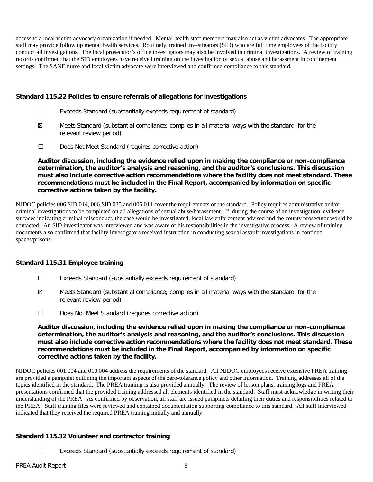access to a local victim advocacy organization if needed. Mental health staff members may also act as victim advocates. The appropriate staff may provide follow up mental health services. Routinely, trained investigators (SID) who are full time employees of the facility conduct all investigations. The local prosecutor's office investigators may also be involved in criminal investigations. A review of training records confirmed that the SID employees have received training on the investigation of sexual abuse and harassment in confinement settings. The SANE nurse and local victim advocate were interviewed and confirmed compliance to this standard.

### **Standard 115.22 Policies to ensure referrals of allegations for investigations**

- ☐ Exceeds Standard (substantially exceeds requirement of standard)
- ☒ Meets Standard (substantial compliance; complies in all material ways with the standard for the relevant review period)
- ☐ Does Not Meet Standard (requires corrective action)

**Auditor discussion, including the evidence relied upon in making the compliance or non-compliance determination, the auditor's analysis and reasoning, and the auditor's conclusions. This discussion must also include corrective action recommendations where the facility does not meet standard. These recommendations must be included in the Final Report, accompanied by information on specific corrective actions taken by the facility.**

NJDOC policies 006.SID.014, 006.SID.035 and 006.011 cover the requirements of the standard. Policy requires administrative and/or criminal investigations to be completed on all allegations of sexual abuse/harassment. If, during the course of an investigation, evidence surfaces indicating criminal misconduct, the case would be investigated, local law enforcement advised and the county prosecutor would be contacted. An SID investigator was interviewed and was aware of his responsibilities in the investigative process. A review of training documents also confirmed that facility investigators received instruction in conducting sexual assault investigations in confined spaces/prisons.

# **Standard 115.31 Employee training**

- ☐ Exceeds Standard (substantially exceeds requirement of standard)
- ☒ Meets Standard (substantial compliance; complies in all material ways with the standard for the relevant review period)
- ☐ Does Not Meet Standard (requires corrective action)

**Auditor discussion, including the evidence relied upon in making the compliance or non-compliance determination, the auditor's analysis and reasoning, and the auditor's conclusions. This discussion must also include corrective action recommendations where the facility does not meet standard. These recommendations must be included in the Final Report, accompanied by information on specific corrective actions taken by the facility.**

NJDOC policies 001.004 and 010.004 address the requirements of the standard. All NJDOC employees receive extensive PREA training are provided a pamphlet outlining the important aspects of the zero-tolerance policy and other information. Training addresses all of the topics identified in the standard. The PREA training is also provided annually. The review of lesson plans, training logs and PREA presentations confirmed that the provided training addressed all elements identified in the standard. Staff must acknowledge in writing their understanding of the PREA. As confirmed by observation, all staff are issued pamphlets detailing their duties and responsibilities related to the PREA. Staff training files were reviewed and contained documentation supporting compliance to this standard. All staff interviewed indicated that they received the required PREA training initially and annually.

# **Standard 115.32 Volunteer and contractor training**

☐ Exceeds Standard (substantially exceeds requirement of standard)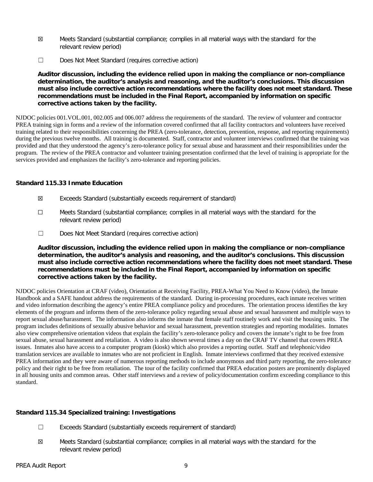- ☒ Meets Standard (substantial compliance; complies in all material ways with the standard for the relevant review period)
- ☐ Does Not Meet Standard (requires corrective action)

**Auditor discussion, including the evidence relied upon in making the compliance or non-compliance determination, the auditor's analysis and reasoning, and the auditor's conclusions. This discussion must also include corrective action recommendations where the facility does not meet standard. These recommendations must be included in the Final Report, accompanied by information on specific corrective actions taken by the facility.**

NJDOC policies 001.VOL.001, 002.005 and 006.007 address the requirements of the standard. The review of volunteer and contractor PREA training sign in forms and a review of the information covered confirmed that all facility contractors and volunteers have received training related to their responsibilities concerning the PREA (zero-tolerance, detection, prevention, response, and reporting requirements) during the previous twelve months. All training is documented. Staff, contractor and volunteer interviews confirmed that the training was provided and that they understood the agency's zero-tolerance policy for sexual abuse and harassment and their responsibilities under the program. The review of the PREA contractor and volunteer training presentation confirmed that the level of training is appropriate for the services provided and emphasizes the facility's zero-tolerance and reporting policies.

### **Standard 115.33 Inmate Education**

- ☒ Exceeds Standard (substantially exceeds requirement of standard)
- ☐ Meets Standard (substantial compliance; complies in all material ways with the standard for the relevant review period)
- ☐ Does Not Meet Standard (requires corrective action)

**Auditor discussion, including the evidence relied upon in making the compliance or non-compliance determination, the auditor's analysis and reasoning, and the auditor's conclusions. This discussion must also include corrective action recommendations where the facility does not meet standard. These recommendations must be included in the Final Report, accompanied by information on specific corrective actions taken by the facility.**

NJDOC policies Orientation at CRAF (video), Orientation at Receiving Facility, PREA-What You Need to Know (video), the Inmate Handbook and a SAFE handout address the requirements of the standard. During in-processing procedures, each inmate receives written and video information describing the agency's entire PREA compliance policy and procedures. The orientation process identifies the key elements of the program and informs them of the zero-tolerance policy regarding sexual abuse and sexual harassment and multiple ways to report sexual abuse/harassment. The information also informs the inmate that female staff routinely work and visit the housing units. The program includes definitions of sexually abusive behavior and sexual harassment, prevention strategies and reporting modalities. Inmates also view comprehensive orientation videos that explain the facility's zero-tolerance policy and covers the inmate's right to be free from sexual abuse, sexual harassment and retaliation. A video is also shown several times a day on the CRAF TV channel that covers PREA issues. Inmates also have access to a computer program (kiosk) which also provides a reporting outlet. Staff and telephonic/video translation services are available to inmates who are not proficient in English. Inmate interviews confirmed that they received extensive PREA information and they were aware of numerous reporting methods to include anonymous and third party reporting, the zero-tolerance policy and their right to be free from retaliation. The tour of the facility confirmed that PREA education posters are prominently displayed in all housing units and common areas. Other staff interviews and a review of policy/documentation confirm exceeding compliance to this standard.

# **Standard 115.34 Specialized training: Investigations**

- ☐ Exceeds Standard (substantially exceeds requirement of standard)
- ☒ Meets Standard (substantial compliance; complies in all material ways with the standard for the relevant review period)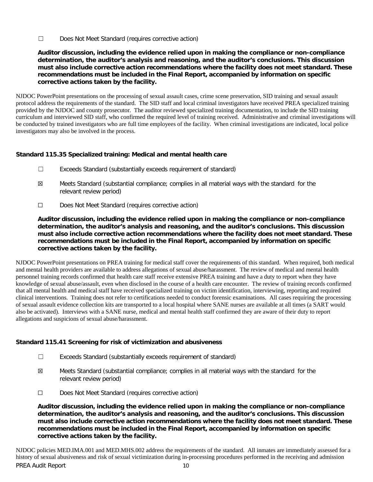☐ Does Not Meet Standard (requires corrective action)

**Auditor discussion, including the evidence relied upon in making the compliance or non-compliance determination, the auditor's analysis and reasoning, and the auditor's conclusions. This discussion must also include corrective action recommendations where the facility does not meet standard. These recommendations must be included in the Final Report, accompanied by information on specific corrective actions taken by the facility.**

NJDOC PowerPoint presentations on the processing of sexual assault cases, crime scene preservation, SID training and sexual assault protocol address the requirements of the standard. The SID staff and local criminal investigators have received PREA specialized training provided by the NJDOC and county prosecutor. The auditor reviewed specialized training documentation, to include the SID training curriculum and interviewed SID staff, who confirmed the required level of training received. Administrative and criminal investigations will be conducted by trained investigators who are full time employees of the facility. When criminal investigations are indicated, local police investigators may also be involved in the process.

# **Standard 115.35 Specialized training: Medical and mental health care**

- ☐ Exceeds Standard (substantially exceeds requirement of standard)
- ☒ Meets Standard (substantial compliance; complies in all material ways with the standard for the relevant review period)
- ☐ Does Not Meet Standard (requires corrective action)

**Auditor discussion, including the evidence relied upon in making the compliance or non-compliance determination, the auditor's analysis and reasoning, and the auditor's conclusions. This discussion must also include corrective action recommendations where the facility does not meet standard. These recommendations must be included in the Final Report, accompanied by information on specific corrective actions taken by the facility.**

NJDOC PowerPoint presentations on PREA training for medical staff cover the requirements of this standard. When required, both medical and mental health providers are available to address allegations of sexual abuse/harassment. The review of medical and mental health personnel training records confirmed that health care staff receive extensive PREA training and have a duty to report when they have knowledge of sexual abuse/assault, even when disclosed in the course of a health care encounter. The review of training records confirmed that all mental health and medical staff have received specialized training on victim identification, interviewing, reporting and required clinical interventions. Training does not refer to certifications needed to conduct forensic examinations. All cases requiring the processing of sexual assault evidence collection kits are transported to a local hospital where SANE nurses are available at all times (a SART would also be activated). Interviews with a SANE nurse, medical and mental health staff confirmed they are aware of their duty to report allegations and suspicions of sexual abuse/harassment.

# **Standard 115.41 Screening for risk of victimization and abusiveness**

- ☐ Exceeds Standard (substantially exceeds requirement of standard)
- ☒ Meets Standard (substantial compliance; complies in all material ways with the standard for the relevant review period)
- ☐ Does Not Meet Standard (requires corrective action)

**Auditor discussion, including the evidence relied upon in making the compliance or non-compliance determination, the auditor's analysis and reasoning, and the auditor's conclusions. This discussion must also include corrective action recommendations where the facility does not meet standard. These recommendations must be included in the Final Report, accompanied by information on specific corrective actions taken by the facility.**

PREA Audit Report 10 NJDOC policies MED.IMA.001 and MED.MHS.002 address the requirements of the standard. All inmates are immediately assessed for a history of sexual abusiveness and risk of sexual victimization during in-processing procedures performed in the receiving and admission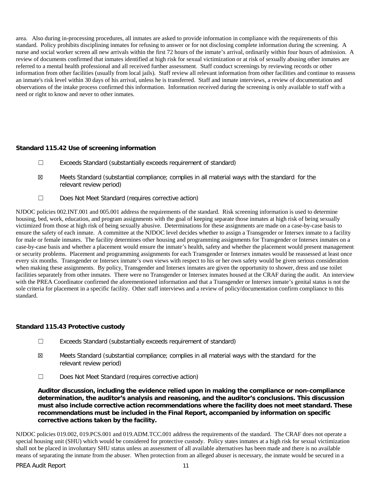area. Also during in-processing procedures, all inmates are asked to provide information in compliance with the requirements of this standard. Policy prohibits disciplining inmates for refusing to answer or for not disclosing complete information during the screening. A nurse and social worker screen all new arrivals within the first 72 hours of the inmate's arrival, ordinarily within four hours of admission. A review of documents confirmed that inmates identified at high risk for sexual victimization or at risk of sexually abusing other inmates are referred to a mental health professional and all received further assessment. Staff conduct screenings by reviewing records or other information from other facilities (usually from local jails). Staff review all relevant information from other facilities and continue to reassess an inmate's risk level within 30 days of his arrival, unless he is transferred. Staff and inmate interviews, a review of documentation and observations of the intake process confirmed this information. Information received during the screening is only available to staff with a need or right to know and never to other inmates.

### **Standard 115.42 Use of screening information**

- ☐ Exceeds Standard (substantially exceeds requirement of standard)
- ☒ Meets Standard (substantial compliance; complies in all material ways with the standard for the relevant review period)
- ☐ Does Not Meet Standard (requires corrective action)

NJDOC policies 002.INT.001 and 005.001 address the requirements of the standard. Risk screening information is used to determine housing, bed, work, education, and program assignments with the goal of keeping separate those inmates at high risk of being sexually victimized from those at high risk of being sexually abusive. Determinations for these assignments are made on a case-by-case basis to ensure the safety of each inmate. A committee at the NJDOC level decides whether to assign a Transgender or Intersex inmate to a facility for male or female inmates. The facility determines other housing and programming assignments for Transgender or Intersex inmates on a case-by-case basis and whether a placement would ensure the inmate's health, safety and whether the placement would present management or security problems. Placement and programming assignments for each Transgender or Intersex inmates would be reassessed at least once every six months. Transgender or Intersex inmate's own views with respect to his or her own safety would be given serious consideration when making these assignments. By policy, Transgender and Intersex inmates are given the opportunity to shower, dress and use toilet facilities separately from other inmates. There were no Transgender or Intersex inmates housed at the CRAF during the audit. An interview with the PREA Coordinator confirmed the aforementioned information and that a Transgender or Intersex inmate's genital status is not the sole criteria for placement in a specific facility. Other staff interviews and a review of policy/documentation confirm compliance to this standard.

# **Standard 115.43 Protective custody**

- ☐ Exceeds Standard (substantially exceeds requirement of standard)
- ☒ Meets Standard (substantial compliance; complies in all material ways with the standard for the relevant review period)
- ☐ Does Not Meet Standard (requires corrective action)

**Auditor discussion, including the evidence relied upon in making the compliance or non-compliance determination, the auditor's analysis and reasoning, and the auditor's conclusions. This discussion must also include corrective action recommendations where the facility does not meet standard. These recommendations must be included in the Final Report, accompanied by information on specific corrective actions taken by the facility.**

NJDOC policies 019.002, 019.PCS.001 and 019.ADM.TCC.001 address the requirements of the standard. The CRAF does not operate a special housing unit (SHU) which would be considered for protective custody. Policy states inmates at a high risk for sexual victimization shall not be placed in involuntary SHU status unless an assessment of all available alternatives has been made and there is no available means of separating the inmate from the abuser. When protection from an alleged abuser is necessary, the inmate would be secured in a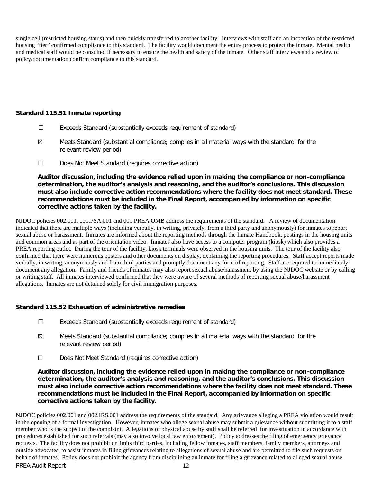single cell (restricted housing status) and then quickly transferred to another facility. Interviews with staff and an inspection of the restricted housing "tier" confirmed compliance to this standard. The facility would document the entire process to protect the inmate. Mental health and medical staff would be consulted if necessary to ensure the health and safety of the inmate. Other staff interviews and a review of policy/documentation confirm compliance to this standard.

### **Standard 115.51 Inmate reporting**

- ☐ Exceeds Standard (substantially exceeds requirement of standard)
- ☒ Meets Standard (substantial compliance; complies in all material ways with the standard for the relevant review period)
- ☐ Does Not Meet Standard (requires corrective action)

**Auditor discussion, including the evidence relied upon in making the compliance or non-compliance determination, the auditor's analysis and reasoning, and the auditor's conclusions. This discussion must also include corrective action recommendations where the facility does not meet standard. These recommendations must be included in the Final Report, accompanied by information on specific corrective actions taken by the facility.**

NJDOC policies 002.001, 001.PSA.001 and 001.PREA.OMB address the requirements of the standard. A review of documentation indicated that there are multiple ways (including verbally, in writing, privately, from a third party and anonymously) for inmates to report sexual abuse or harassment. Inmates are informed about the reporting methods through the Inmate Handbook, postings in the housing units and common areas and as part of the orientation video. Inmates also have access to a computer program (kiosk) which also provides a PREA reporting outlet. During the tour of the facility, kiosk terminals were observed in the housing units. The tour of the facility also confirmed that there were numerous posters and other documents on display, explaining the reporting procedures. Staff accept reports made verbally, in writing, anonymously and from third parties and promptly document any form of reporting. Staff are required to immediately document any allegation. Family and friends of inmates may also report sexual abuse/harassment by using the NJDOC website or by calling or writing staff. All inmates interviewed confirmed that they were aware of several methods of reporting sexual abuse/harassment allegations. Inmates are not detained solely for civil immigration purposes.

# **Standard 115.52 Exhaustion of administrative remedies**

- ☐ Exceeds Standard (substantially exceeds requirement of standard)
- ☒ Meets Standard (substantial compliance; complies in all material ways with the standard for the relevant review period)
- ☐ Does Not Meet Standard (requires corrective action)

**Auditor discussion, including the evidence relied upon in making the compliance or non-compliance determination, the auditor's analysis and reasoning, and the auditor's conclusions. This discussion must also include corrective action recommendations where the facility does not meet standard. These recommendations must be included in the Final Report, accompanied by information on specific corrective actions taken by the facility.**

PREA Audit Report 12 NJDOC policies 002.001 and 002.IRS.001 address the requirements of the standard. Any grievance alleging a PREA violation would result in the opening of a formal investigation. However, inmates who allege sexual abuse may submit a grievance without submitting it to a staff member who is the subject of the complaint. Allegations of physical abuse by staff shall be referred for investigation in accordance with procedures established for such referrals (may also involve local law enforcement). Policy addresses the filing of emergency grievance requests. The facility does not prohibit or limits third parties, including fellow inmates, staff members, family members, attorneys and outside advocates, to assist inmates in filing grievances relating to allegations of sexual abuse and are permitted to file such requests on behalf of inmates. Policy does not prohibit the agency from disciplining an inmate for filing a grievance related to alleged sexual abuse,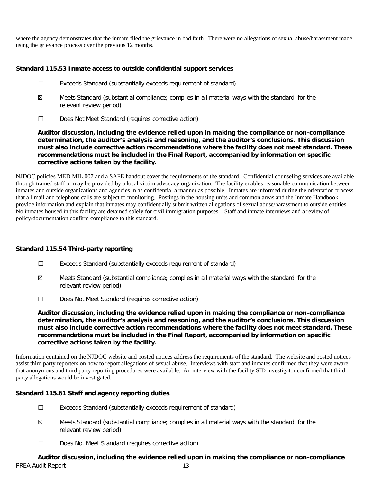where the agency demonstrates that the inmate filed the grievance in bad faith. There were no allegations of sexual abuse/harassment made using the grievance process over the previous 12 months.

# **Standard 115.53 Inmate access to outside confidential support services**

- ☐ Exceeds Standard (substantially exceeds requirement of standard)
- ☒ Meets Standard (substantial compliance; complies in all material ways with the standard for the relevant review period)
- ☐ Does Not Meet Standard (requires corrective action)

**Auditor discussion, including the evidence relied upon in making the compliance or non-compliance determination, the auditor's analysis and reasoning, and the auditor's conclusions. This discussion must also include corrective action recommendations where the facility does not meet standard. These recommendations must be included in the Final Report, accompanied by information on specific corrective actions taken by the facility.**

NJDOC policies MED.MIL.007 and a SAFE handout cover the requirements of the standard. Confidential counseling services are available through trained staff or may be provided by a local victim advocacy organization. The facility enables reasonable communication between inmates and outside organizations and agencies in as confidential a manner as possible. Inmates are informed during the orientation process that all mail and telephone calls are subject to monitoring. Postings in the housing units and common areas and the Inmate Handbook provide information and explain that inmates may confidentially submit written allegations of sexual abuse/harassment to outside entities. No inmates housed in this facility are detained solely for civil immigration purposes. Staff and inmate interviews and a review of policy/documentation confirm compliance to this standard.

#### **Standard 115.54 Third-party reporting**

- ☐ Exceeds Standard (substantially exceeds requirement of standard)
- ☒ Meets Standard (substantial compliance; complies in all material ways with the standard for the relevant review period)
- ☐ Does Not Meet Standard (requires corrective action)

**Auditor discussion, including the evidence relied upon in making the compliance or non-compliance determination, the auditor's analysis and reasoning, and the auditor's conclusions. This discussion must also include corrective action recommendations where the facility does not meet standard. These recommendations must be included in the Final Report, accompanied by information on specific corrective actions taken by the facility.**

Information contained on the NJDOC website and posted notices address the requirements of the standard. The website and posted notices assist third party reporters on how to report allegations of sexual abuse. Interviews with staff and inmates confirmed that they were aware that anonymous and third party reporting procedures were available. An interview with the facility SID investigator confirmed that third party allegations would be investigated.

# **Standard 115.61 Staff and agency reporting duties**

- ☐ Exceeds Standard (substantially exceeds requirement of standard)
- ☒ Meets Standard (substantial compliance; complies in all material ways with the standard for the relevant review period)
- ☐ Does Not Meet Standard (requires corrective action)

PREA Audit Report 13 **Auditor discussion, including the evidence relied upon in making the compliance or non-compliance**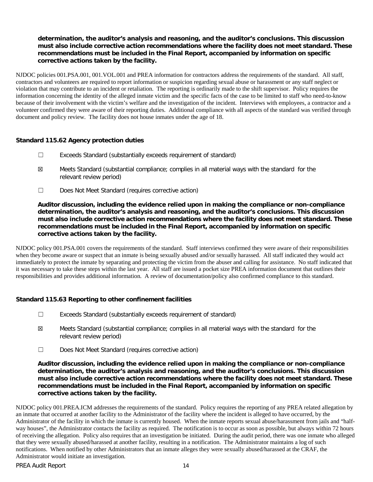# **determination, the auditor's analysis and reasoning, and the auditor's conclusions. This discussion must also include corrective action recommendations where the facility does not meet standard. These recommendations must be included in the Final Report, accompanied by information on specific corrective actions taken by the facility.**

NJDOC policies 001.PSA.001, 001.VOL.001 and PREA information for contractors address the requirements of the standard. All staff, contractors and volunteers are required to report information or suspicion regarding sexual abuse or harassment or any staff neglect or violation that may contribute to an incident or retaliation. The reporting is ordinarily made to the shift supervisor. Policy requires the information concerning the identity of the alleged inmate victim and the specific facts of the case to be limited to staff who need-to-know because of their involvement with the victim's welfare and the investigation of the incident. Interviews with employees, a contractor and a volunteer confirmed they were aware of their reporting duties. Additional compliance with all aspects of the standard was verified through document and policy review. The facility does not house inmates under the age of 18.

### **Standard 115.62 Agency protection duties**

- ☐ Exceeds Standard (substantially exceeds requirement of standard)
- ☒ Meets Standard (substantial compliance; complies in all material ways with the standard for the relevant review period)
- ☐ Does Not Meet Standard (requires corrective action)

**Auditor discussion, including the evidence relied upon in making the compliance or non-compliance determination, the auditor's analysis and reasoning, and the auditor's conclusions. This discussion must also include corrective action recommendations where the facility does not meet standard. These recommendations must be included in the Final Report, accompanied by information on specific corrective actions taken by the facility.**

NJDOC policy 001.PSA.001 covers the requirements of the standard. Staff interviews confirmed they were aware of their responsibilities when they become aware or suspect that an inmate is being sexually abused and/or sexually harassed. All staff indicated they would act immediately to protect the inmate by separating and protecting the victim from the abuser and calling for assistance. No staff indicated that it was necessary to take these steps within the last year. All staff are issued a pocket size PREA information document that outlines their responsibilities and provides additional information. A review of documentation/policy also confirmed compliance to this standard.

# **Standard 115.63 Reporting to other confinement facilities**

- ☐ Exceeds Standard (substantially exceeds requirement of standard)
- ☒ Meets Standard (substantial compliance; complies in all material ways with the standard for the relevant review period)
- ☐ Does Not Meet Standard (requires corrective action)

**Auditor discussion, including the evidence relied upon in making the compliance or non-compliance determination, the auditor's analysis and reasoning, and the auditor's conclusions. This discussion must also include corrective action recommendations where the facility does not meet standard. These recommendations must be included in the Final Report, accompanied by information on specific corrective actions taken by the facility.**

NJDOC policy 001.PREA.ICM addresses the requirements of the standard. Policy requires the reporting of any PREA related allegation by an inmate that occurred at another facility to the Administrator of the facility where the incident is alleged to have occurred, by the Administrator of the facility in which the inmate is currently housed. When the inmate reports sexual abuse/harassment from jails and "halfway houses", the Administrator contacts the facility as required. The notification is to occur as soon as possible, but always within 72 hours of receiving the allegation. Policy also requires that an investigation be initiated. During the audit period, there was one inmate who alleged that they were sexually abused/harassed at another facility, resulting in a notification. The Administrator maintains a log of such notifications. When notified by other Administrators that an inmate alleges they were sexually abused/harassed at the CRAF, the Administrator would initiate an investigation.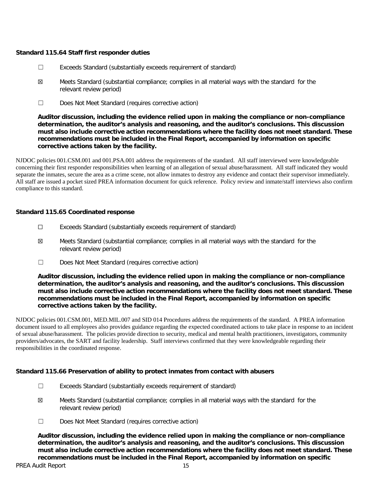### **Standard 115.64 Staff first responder duties**

- ☐ Exceeds Standard (substantially exceeds requirement of standard)
- ☒ Meets Standard (substantial compliance; complies in all material ways with the standard for the relevant review period)
- ☐ Does Not Meet Standard (requires corrective action)

**Auditor discussion, including the evidence relied upon in making the compliance or non-compliance determination, the auditor's analysis and reasoning, and the auditor's conclusions. This discussion must also include corrective action recommendations where the facility does not meet standard. These recommendations must be included in the Final Report, accompanied by information on specific corrective actions taken by the facility.**

NJDOC policies 001.CSM.001 and 001.PSA.001 address the requirements of the standard. All staff interviewed were knowledgeable concerning their first responder responsibilities when learning of an allegation of sexual abuse/harassment. All staff indicated they would separate the inmates, secure the area as a crime scene, not allow inmates to destroy any evidence and contact their supervisor immediately. All staff are issued a pocket sized PREA information document for quick reference. Policy review and inmate/staff interviews also confirm compliance to this standard.

### **Standard 115.65 Coordinated response**

- ☐ Exceeds Standard (substantially exceeds requirement of standard)
- ☒ Meets Standard (substantial compliance; complies in all material ways with the standard for the relevant review period)
- ☐ Does Not Meet Standard (requires corrective action)

**Auditor discussion, including the evidence relied upon in making the compliance or non-compliance determination, the auditor's analysis and reasoning, and the auditor's conclusions. This discussion must also include corrective action recommendations where the facility does not meet standard. These recommendations must be included in the Final Report, accompanied by information on specific corrective actions taken by the facility.**

NJDOC policies 001.CSM.001, MED.MIL.007 and SID 014 Procedures address the requirements of the standard. A PREA information document issued to all employees also provides guidance regarding the expected coordinated actions to take place in response to an incident of sexual abuse/harassment. The policies provide direction to security, medical and mental health practitioners, investigators, community providers/advocates, the SART and facility leadership. Staff interviews confirmed that they were knowledgeable regarding their responsibilities in the coordinated response.

#### **Standard 115.66 Preservation of ability to protect inmates from contact with abusers**

- ☐ Exceeds Standard (substantially exceeds requirement of standard)
- ☒ Meets Standard (substantial compliance; complies in all material ways with the standard for the relevant review period)
- ☐ Does Not Meet Standard (requires corrective action)

**Auditor discussion, including the evidence relied upon in making the compliance or non-compliance determination, the auditor's analysis and reasoning, and the auditor's conclusions. This discussion must also include corrective action recommendations where the facility does not meet standard. These recommendations must be included in the Final Report, accompanied by information on specific**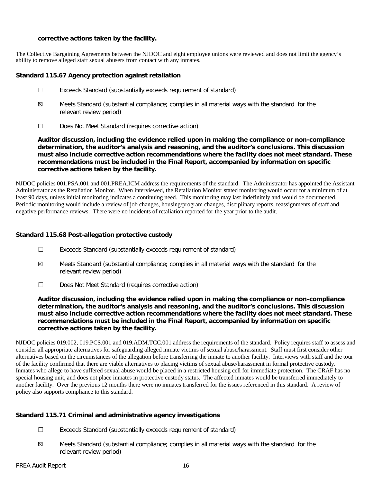### **corrective actions taken by the facility.**

The Collective Bargaining Agreements between the NJDOC and eight employee unions were reviewed and does not limit the agency's ability to remove alleged staff sexual abusers from contact with any inmates.

### **Standard 115.67 Agency protection against retaliation**

- ☐ Exceeds Standard (substantially exceeds requirement of standard)
- ☒ Meets Standard (substantial compliance; complies in all material ways with the standard for the relevant review period)
- ☐ Does Not Meet Standard (requires corrective action)

**Auditor discussion, including the evidence relied upon in making the compliance or non-compliance determination, the auditor's analysis and reasoning, and the auditor's conclusions. This discussion must also include corrective action recommendations where the facility does not meet standard. These recommendations must be included in the Final Report, accompanied by information on specific corrective actions taken by the facility.**

NJDOC policies 001.PSA.001 and 001.PREA.ICM address the requirements of the standard. The Administrator has appointed the Assistant Administrator as the Retaliation Monitor. When interviewed, the Retaliation Monitor stated monitoring would occur for a minimum of at least 90 days, unless initial monitoring indicates a continuing need. This monitoring may last indefinitely and would be documented. Periodic monitoring would include a review of job changes, housing/program changes, disciplinary reports, reassignments of staff and negative performance reviews. There were no incidents of retaliation reported for the year prior to the audit.

# **Standard 115.68 Post-allegation protective custody**

- ☐ Exceeds Standard (substantially exceeds requirement of standard)
- ☒ Meets Standard (substantial compliance; complies in all material ways with the standard for the relevant review period)
- ☐ Does Not Meet Standard (requires corrective action)

**Auditor discussion, including the evidence relied upon in making the compliance or non-compliance determination, the auditor's analysis and reasoning, and the auditor's conclusions. This discussion must also include corrective action recommendations where the facility does not meet standard. These recommendations must be included in the Final Report, accompanied by information on specific corrective actions taken by the facility.**

NJDOC policies 019.002, 019.PCS.001 and 019.ADM.TCC.001 address the requirements of the standard. Policy requires staff to assess and consider all appropriate alternatives for safeguarding alleged inmate victims of sexual abuse/harassment. Staff must first consider other alternatives based on the circumstances of the allegation before transferring the inmate to another facility. Interviews with staff and the tour of the facility confirmed that there are viable alternatives to placing victims of sexual abuse/harassment in formal protective custody. Inmates who allege to have suffered sexual abuse would be placed in a restricted housing cell for immediate protection. The CRAF has no special housing unit, and does not place inmates in protective custody status. The affected inmates would be transferred immediately to another facility. Over the previous 12 months there were no inmates transferred for the issues referenced in this standard. A review of policy also supports compliance to this standard.

# **Standard 115.71 Criminal and administrative agency investigations**

- ☐ Exceeds Standard (substantially exceeds requirement of standard)
- ☒ Meets Standard (substantial compliance; complies in all material ways with the standard for the relevant review period)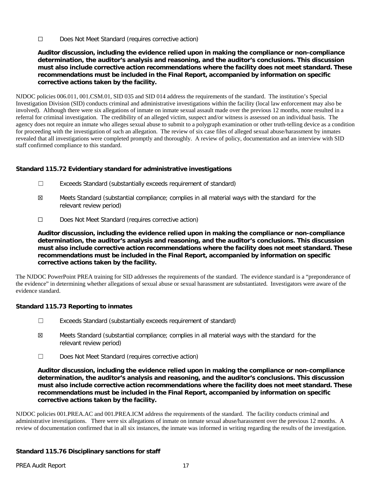☐ Does Not Meet Standard (requires corrective action)

**Auditor discussion, including the evidence relied upon in making the compliance or non-compliance determination, the auditor's analysis and reasoning, and the auditor's conclusions. This discussion must also include corrective action recommendations where the facility does not meet standard. These recommendations must be included in the Final Report, accompanied by information on specific corrective actions taken by the facility.**

NJDOC policies 006.011, 001.CSM.01, SID 035 and SID 014 address the requirements of the standard. The institution's Special Investigation Division (SID) conducts criminal and administrative investigations within the facility (local law enforcement may also be involved). Although there were six allegations of inmate on inmate sexual assault made over the previous 12 months, none resulted in a referral for criminal investigation. The credibility of an alleged victim, suspect and/or witness is assessed on an individual basis. The agency does not require an inmate who alleges sexual abuse to submit to a polygraph examination or other truth-telling device as a condition for proceeding with the investigation of such an allegation. The review of six case files of alleged sexual abuse/harassment by inmates revealed that all investigations were completed promptly and thoroughly. A review of policy, documentation and an interview with SID staff confirmed compliance to this standard.

# **Standard 115.72 Evidentiary standard for administrative investigations**

- ☐ Exceeds Standard (substantially exceeds requirement of standard)
- ☒ Meets Standard (substantial compliance; complies in all material ways with the standard for the relevant review period)
- ☐ Does Not Meet Standard (requires corrective action)

**Auditor discussion, including the evidence relied upon in making the compliance or non-compliance determination, the auditor's analysis and reasoning, and the auditor's conclusions. This discussion must also include corrective action recommendations where the facility does not meet standard. These recommendations must be included in the Final Report, accompanied by information on specific corrective actions taken by the facility.**

The NJDOC PowerPoint PREA training for SID addresses the requirements of the standard. The evidence standard is a "preponderance of the evidence" in determining whether allegations of sexual abuse or sexual harassment are substantiated. Investigators were aware of the evidence standard.

# **Standard 115.73 Reporting to inmates**

- ☐ Exceeds Standard (substantially exceeds requirement of standard)
- ☒ Meets Standard (substantial compliance; complies in all material ways with the standard for the relevant review period)
- ☐ Does Not Meet Standard (requires corrective action)

**Auditor discussion, including the evidence relied upon in making the compliance or non-compliance determination, the auditor's analysis and reasoning, and the auditor's conclusions. This discussion must also include corrective action recommendations where the facility does not meet standard. These recommendations must be included in the Final Report, accompanied by information on specific corrective actions taken by the facility.**

NJDOC policies 001.PREA.AC and 001.PREA.ICM address the requirements of the standard. The facility conducts criminal and administrative investigations. There were six allegations of inmate on inmate sexual abuse/harassment over the previous 12 months. A review of documentation confirmed that in all six instances, the inmate was informed in writing regarding the results of the investigation.

# **Standard 115.76 Disciplinary sanctions for staff**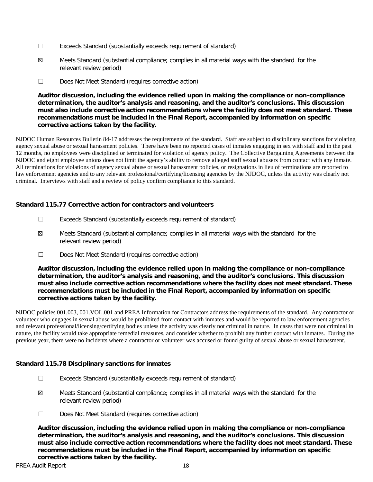- ☐ Exceeds Standard (substantially exceeds requirement of standard)
- ☒ Meets Standard (substantial compliance; complies in all material ways with the standard for the relevant review period)
- ☐ Does Not Meet Standard (requires corrective action)

### **Auditor discussion, including the evidence relied upon in making the compliance or non-compliance determination, the auditor's analysis and reasoning, and the auditor's conclusions. This discussion must also include corrective action recommendations where the facility does not meet standard. These recommendations must be included in the Final Report, accompanied by information on specific corrective actions taken by the facility.**

NJDOC Human Resources Bulletin 84-17 addresses the requirements of the standard. Staff are subject to disciplinary sanctions for violating agency sexual abuse or sexual harassment policies. There have been no reported cases of inmates engaging in sex with staff and in the past 12 months, no employees were disciplined or terminated for violation of agency policy. The Collective Bargaining Agreements between the NJDOC and eight employee unions does not limit the agency's ability to remove alleged staff sexual abusers from contact with any inmate. All terminations for violations of agency sexual abuse or sexual harassment policies, or resignations in lieu of terminations are reported to law enforcement agencies and to any relevant professional/certifying/licensing agencies by the NJDOC, unless the activity was clearly not criminal. Interviews with staff and a review of policy confirm compliance to this standard.

# **Standard 115.77 Corrective action for contractors and volunteers**

- ☐ Exceeds Standard (substantially exceeds requirement of standard)
- ☒ Meets Standard (substantial compliance; complies in all material ways with the standard for the relevant review period)
- ☐ Does Not Meet Standard (requires corrective action)

**Auditor discussion, including the evidence relied upon in making the compliance or non-compliance determination, the auditor's analysis and reasoning, and the auditor's conclusions. This discussion must also include corrective action recommendations where the facility does not meet standard. These recommendations must be included in the Final Report, accompanied by information on specific corrective actions taken by the facility.**

NJDOC policies 001.003, 001.VOL.001 and PREA Information for Contractors address the requirements of the standard. Any contractor or volunteer who engages in sexual abuse would be prohibited from contact with inmates and would be reported to law enforcement agencies and relevant professional/licensing/certifying bodies unless the activity was clearly not criminal in nature. In cases that were not criminal in nature, the facility would take appropriate remedial measures, and consider whether to prohibit any further contact with inmates. During the previous year, there were no incidents where a contractor or volunteer was accused or found guilty of sexual abuse or sexual harassment.

# **Standard 115.78 Disciplinary sanctions for inmates**

- ☐ Exceeds Standard (substantially exceeds requirement of standard)
- ☒ Meets Standard (substantial compliance; complies in all material ways with the standard for the relevant review period)
- ☐ Does Not Meet Standard (requires corrective action)

**Auditor discussion, including the evidence relied upon in making the compliance or non-compliance determination, the auditor's analysis and reasoning, and the auditor's conclusions. This discussion must also include corrective action recommendations where the facility does not meet standard. These recommendations must be included in the Final Report, accompanied by information on specific corrective actions taken by the facility.**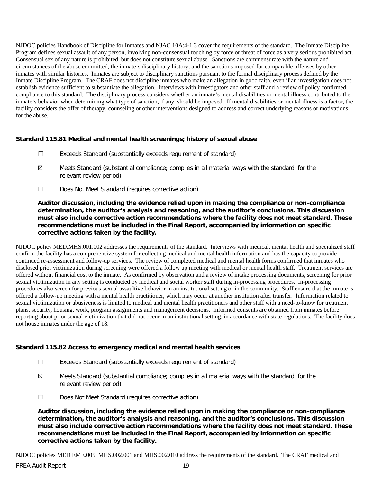NJDOC policies Handbook of Discipline for Inmates and NJAC 10A:4-1.3 cover the requirements of the standard. The Inmate Discipline Program defines sexual assault of any person, involving non-consensual touching by force or threat of force as a very serious prohibited act. Consensual sex of any nature is prohibited, but does not constitute sexual abuse. Sanctions are commensurate with the nature and circumstances of the abuse committed, the inmate's disciplinary history, and the sanctions imposed for comparable offenses by other inmates with similar histories. Inmates are subject to disciplinary sanctions pursuant to the formal disciplinary process defined by the Inmate Discipline Program. The CRAF does not discipline inmates who make an allegation in good faith, even if an investigation does not establish evidence sufficient to substantiate the allegation. Interviews with investigators and other staff and a review of policy confirmed compliance to this standard. The disciplinary process considers whether an inmate's mental disabilities or mental illness contributed to the inmate's behavior when determining what type of sanction, if any, should be imposed. If mental disabilities or mental illness is a factor, the facility considers the offer of therapy, counseling or other interventions designed to address and correct underlying reasons or motivations for the abuse.

# **Standard 115.81 Medical and mental health screenings; history of sexual abuse**

- ☐ Exceeds Standard (substantially exceeds requirement of standard)
- ☒ Meets Standard (substantial compliance; complies in all material ways with the standard for the relevant review period)
- ☐ Does Not Meet Standard (requires corrective action)

**Auditor discussion, including the evidence relied upon in making the compliance or non-compliance determination, the auditor's analysis and reasoning, and the auditor's conclusions. This discussion must also include corrective action recommendations where the facility does not meet standard. These recommendations must be included in the Final Report, accompanied by information on specific corrective actions taken by the facility.**

NJDOC policy MED.MHS.001.002 addresses the requirements of the standard. Interviews with medical, mental health and specialized staff confirm the facility has a comprehensive system for collecting medical and mental health information and has the capacity to provide continued re-assessment and follow-up services. The review of completed medical and mental health forms confirmed that inmates who disclosed prior victimization during screening were offered a follow up meeting with medical or mental health staff. Treatment services are offered without financial cost to the inmate. As confirmed by observation and a review of intake processing documents, screening for prior sexual victimization in any setting is conducted by medical and social worker staff during in-processing procedures. In-processing procedures also screen for previous sexual assaultive behavior in an institutional setting or in the community. Staff ensure that the inmate is offered a follow-up meeting with a mental health practitioner, which may occur at another institution after transfer. Information related to sexual victimization or abusiveness is limited to medical and mental health practitioners and other staff with a need-to-know for treatment plans, security, housing, work, program assignments and management decisions. Informed consents are obtained from inmates before reporting about prior sexual victimization that did not occur in an institutional setting, in accordance with state regulations. The facility does not house inmates under the age of 18.

# **Standard 115.82 Access to emergency medical and mental health services**

- ☐ Exceeds Standard (substantially exceeds requirement of standard)
- ☒ Meets Standard (substantial compliance; complies in all material ways with the standard for the relevant review period)
- ☐ Does Not Meet Standard (requires corrective action)

**Auditor discussion, including the evidence relied upon in making the compliance or non-compliance determination, the auditor's analysis and reasoning, and the auditor's conclusions. This discussion must also include corrective action recommendations where the facility does not meet standard. These recommendations must be included in the Final Report, accompanied by information on specific corrective actions taken by the facility.**

NJDOC policies MED EME.005, MHS.002.001 and MHS.002.010 address the requirements of the standard. The CRAF medical and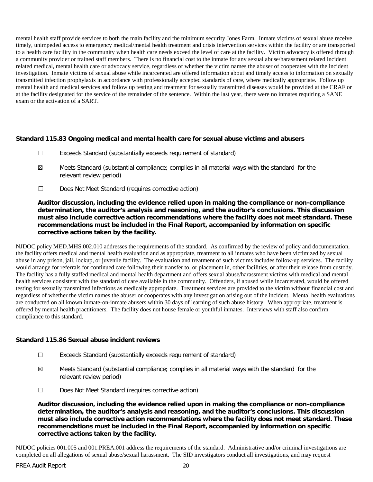mental health staff provide services to both the main facility and the minimum security Jones Farm. Inmate victims of sexual abuse receive timely, unimpeded access to emergency medical/mental health treatment and crisis intervention services within the facility or are transported to a health care facility in the community when health care needs exceed the level of care at the facility. Victim advocacy is offered through a community provider or trained staff members. There is no financial cost to the inmate for any sexual abuse/harassment related incident related medical, mental health care or advocacy service, regardless of whether the victim names the abuser of cooperates with the incident investigation. Inmate victims of sexual abuse while incarcerated are offered information about and timely access to information on sexually transmitted infection prophylaxis in accordance with professionally accepted standards of care, where medically appropriate. Follow up mental health and medical services and follow up testing and treatment for sexually transmitted diseases would be provided at the CRAF or at the facility designated for the service of the remainder of the sentence. Within the last year, there were no inmates requiring a SANE exam or the activation of a SART.

# **Standard 115.83 Ongoing medical and mental health care for sexual abuse victims and abusers**

- ☐ Exceeds Standard (substantially exceeds requirement of standard)
- ☒ Meets Standard (substantial compliance; complies in all material ways with the standard for the relevant review period)
- ☐ Does Not Meet Standard (requires corrective action)

**Auditor discussion, including the evidence relied upon in making the compliance or non-compliance determination, the auditor's analysis and reasoning, and the auditor's conclusions. This discussion must also include corrective action recommendations where the facility does not meet standard. These recommendations must be included in the Final Report, accompanied by information on specific corrective actions taken by the facility.**

NJDOC policy MED.MHS.002.010 addresses the requirements of the standard. As confirmed by the review of policy and documentation, the facility offers medical and mental health evaluation and as appropriate, treatment to all inmates who have been victimized by sexual abuse in any prison, jail, lockup, or juvenile facility. The evaluation and treatment of such victims includes follow-up services. The facility would arrange for referrals for continued care following their transfer to, or placement in, other facilities, or after their release from custody. The facility has a fully staffed medical and mental health department and offers sexual abuse/harassment victims with medical and mental health services consistent with the standard of care available in the community. Offenders, if abused while incarcerated, would be offered testing for sexually transmitted infections as medically appropriate. Treatment services are provided to the victim without financial cost and regardless of whether the victim names the abuser or cooperates with any investigation arising out of the incident. Mental health evaluations are conducted on all known inmate-on-inmate abusers within 30 days of learning of such abuse history. When appropriate, treatment is offered by mental health practitioners. The facility does not house female or youthful inmates. Interviews with staff also confirm compliance to this standard.

#### **Standard 115.86 Sexual abuse incident reviews**

- ☐ Exceeds Standard (substantially exceeds requirement of standard)
- ☒ Meets Standard (substantial compliance; complies in all material ways with the standard for the relevant review period)
- ☐ Does Not Meet Standard (requires corrective action)

**Auditor discussion, including the evidence relied upon in making the compliance or non-compliance determination, the auditor's analysis and reasoning, and the auditor's conclusions. This discussion must also include corrective action recommendations where the facility does not meet standard. These recommendations must be included in the Final Report, accompanied by information on specific corrective actions taken by the facility.**

NJDOC policies 001.005 and 001.PREA.001 address the requirements of the standard. Administrative and/or criminal investigations are completed on all allegations of sexual abuse/sexual harassment. The SID investigators conduct all investigations, and may request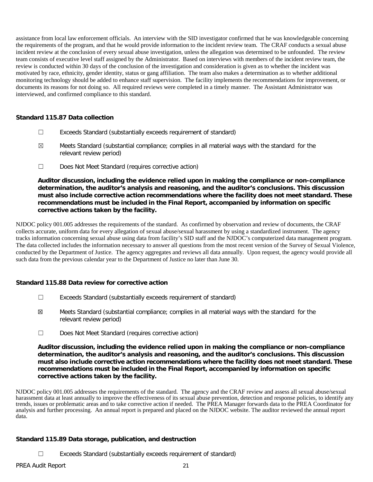assistance from local law enforcement officials. An interview with the SID investigator confirmed that he was knowledgeable concerning the requirements of the program, and that he would provide information to the incident review team. The CRAF conducts a sexual abuse incident review at the conclusion of every sexual abuse investigation, unless the allegation was determined to be unfounded. The review team consists of executive level staff assigned by the Administrator. Based on interviews with members of the incident review team, the review is conducted within 30 days of the conclusion of the investigation and consideration is given as to whether the incident was motivated by race, ethnicity, gender identity, status or gang affiliation. The team also makes a determination as to whether additional monitoring technology should be added to enhance staff supervision. The facility implements the recommendations for improvement, or documents its reasons for not doing so. All required reviews were completed in a timely manner. The Assistant Administrator was interviewed, and confirmed compliance to this standard.

# **Standard 115.87 Data collection**

- ☐ Exceeds Standard (substantially exceeds requirement of standard)
- $\boxtimes$  Meets Standard (substantial compliance; complies in all material ways with the standard for the relevant review period)
- ☐ Does Not Meet Standard (requires corrective action)

**Auditor discussion, including the evidence relied upon in making the compliance or non-compliance determination, the auditor's analysis and reasoning, and the auditor's conclusions. This discussion must also include corrective action recommendations where the facility does not meet standard. These recommendations must be included in the Final Report, accompanied by information on specific corrective actions taken by the facility.**

NJDOC policy 001.005 addresses the requirements of the standard. As confirmed by observation and review of documents, the CRAF collects accurate, uniform data for every allegation of sexual abuse/sexual harassment by using a standardized instrument. The agency tracks information concerning sexual abuse using data from facility's SID staff and the NJDOC's computerized data management program. The data collected includes the information necessary to answer all questions from the most recent version of the Survey of Sexual Violence, conducted by the Department of Justice. The agency aggregates and reviews all data annually. Upon request, the agency would provide all such data from the previous calendar year to the Department of Justice no later than June 30.

# **Standard 115.88 Data review for corrective action**

- ☐ Exceeds Standard (substantially exceeds requirement of standard)
- ☒ Meets Standard (substantial compliance; complies in all material ways with the standard for the relevant review period)
- ☐ Does Not Meet Standard (requires corrective action)

**Auditor discussion, including the evidence relied upon in making the compliance or non-compliance determination, the auditor's analysis and reasoning, and the auditor's conclusions. This discussion must also include corrective action recommendations where the facility does not meet standard. These recommendations must be included in the Final Report, accompanied by information on specific corrective actions taken by the facility.**

NJDOC policy 001.005 addresses the requirements of the standard. The agency and the CRAF review and assess all sexual abuse/sexual harassment data at least annually to improve the effectiveness of its sexual abuse prevention, detection and response policies, to identify any trends, issues or problematic areas and to take corrective action if needed. The PREA Manager forwards data to the PREA Coordinator for analysis and further processing. An annual report is prepared and placed on the NJDOC website. The auditor reviewed the annual report data.

# **Standard 115.89 Data storage, publication, and destruction**

☐ Exceeds Standard (substantially exceeds requirement of standard)